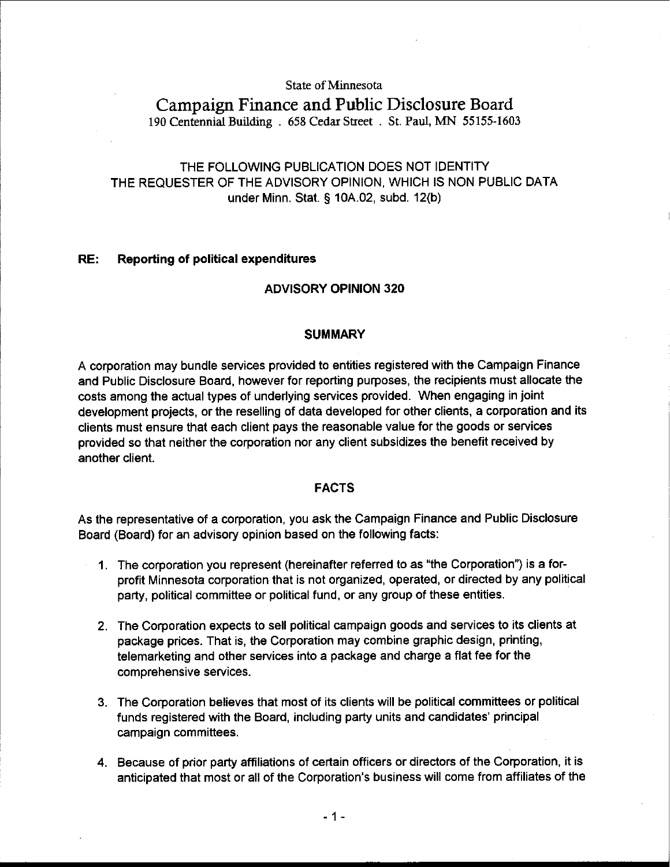#### State of Minnesota

# Campaign Finance and Public Disclosure Board

190 Centennial Building . 658 Cedar Street . St. **Pad,** MN 55155-1603

# THE FOLLOWING PUBLICATION DOES NOT IDENTITY THE REQUESTER OF THE ADVISORY OPINION, WHICH IS NON PUBLIC DATA under Minn. Stat. **5** 10A.02, subd. 12(b)

#### RE: Reporting of political expenditures

## ADVISORY OPINION 320

#### **SUMMARY**

A corporation may bundle services provided to entities registered with the Campaign Finance and Public Disclosure Board, however for reporting purposes, the recipients must allocate the costs among the actual types of underlying services provided. When engaging in joint development projects, or the reselling of data developed for other clients, a corporation and its clients must ensure that each client pays the reasonable value for the goods or services provided so that neither the corporation nor any client subsidizes the benefit received by another client.

## FACTS

As the representative of a corporation, you ask the Campaign Finance and Public Disclosure Board (Board) for an advisory opinion based on the following facts:

- 1. The corporation you represent (hereinafter referred to as "the Corporation") is a forprofit Minnesota corporation that is not organized, operated, or directed by any political party, political committee or political fund, or any group of these entities.
- 2. The Corporation expects to sell political campaign goods and services to its clients at package prices. That is, the Corporation may combine graphic design, printing, telemarketing and other services into a package and charge a flat fee for the comprehensive services.
- 3. The Corporation believes that most of its clients will be political committees or political funds registered with the Board, including party units and candidates' principal campaign committees.
- 4. Because of prior party affiliations of certain officers or directors of the Corporation, it is anticipated that most or all of the Corporation's business will come from affiliates of the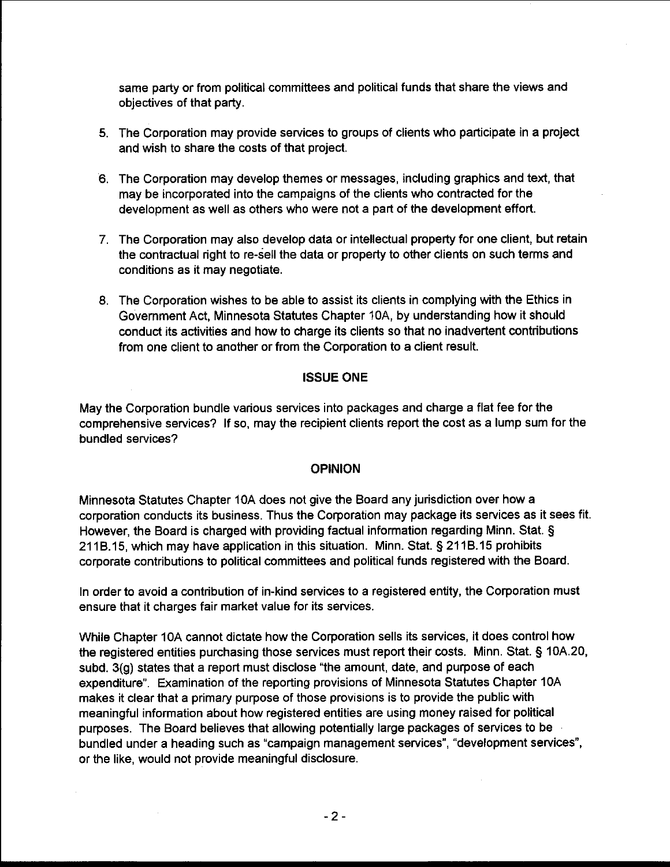same party or from political committees and political funds that share the views and objectives of that party.

- 5. The Corporation may provide services to groups of clients who participate in a project and wish to share the costs of that project.
- 6. The Corporation may develop themes or messages, including graphics and text, that may be incorporated into the campaigns of the clients who contracted for the development as well as others who were not a part of the development effort.
- **7.** The Corporation may also develop data or intellectual property for one client, but retain the contractual right to re-sell the data or property to other clients on such terms and conditions as it may negotiate.
- 8. The Corporation wishes to be able to assist its clients in complying with the Ethics in Government Act, Minnesota Statutes Chapter IOA, by understanding how it should conduct its activities and how to charge its clients so that no inadvertent contributions from one client to another or from the Corporation to a client result.

## ISSUE ONE

May the Corporation bundle various services into packages and charge a flat fee for the comprehensive services? If so, may the recipient clients report the cost as a lump sum for the bundled services?

## OPINION

Minnesota Statutes Chapter 10A does not give the Board any jurisdiction over how a corporation conducts its business. Thus the Corporation may package its services as it sees fit. However, the Board is charged with providing factual information regarding Minn. Stat. **5**  211B.15, which may have application in this situation. Minn. Stat. § 211B.15 prohibits corporate contributions to political committees and political funds registered with the Board.

In order to avoid a contribution of in-kind services to a registered entity, the Corporation must ensure that it charges fair market value for its services.

While Chapter 10A cannot dictate how the Corporation sells its services, it does control how the registered entities purchasing those services must report their costs. Minn. Stat. § 10A.20, subd. **3(g)** states that a report must disclose "the amount, date, and purpose of each expenditure". Examination of the reporting provisions of Minnesota Statutes Chapter 10A makes it clear that a primary purpose of those provisions is to provide the public with meaningful information about how registered entities are using money raised for political purposes. The Board believes that allowing potentially large packages of services to be bundled under a heading such as "campaign management services", "development services", or the like, would not provide meaningful disclosure.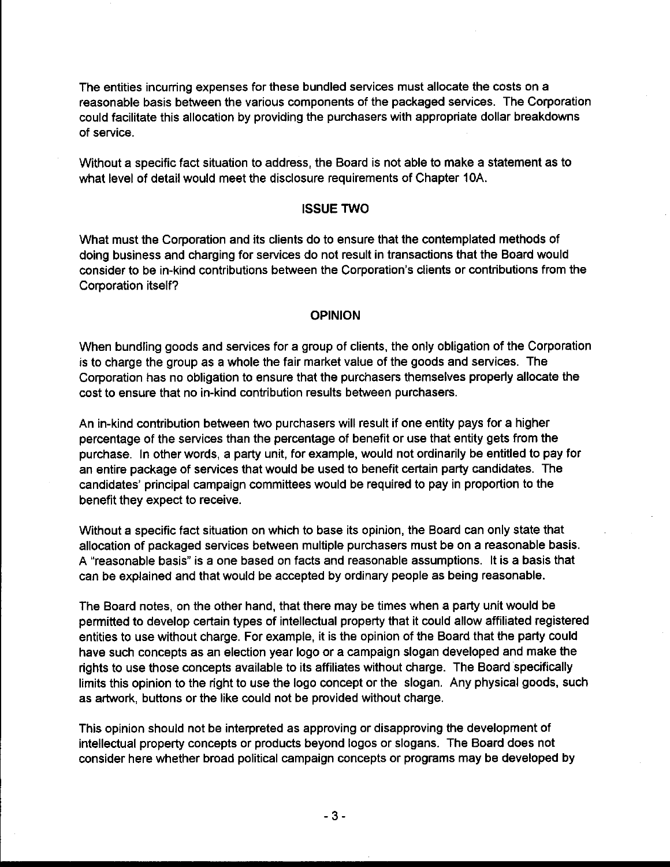The entities incurring expenses for these bundled services must allocate the costs on a reasonable basis between the various components of the packaged services. The Corporation could facilitate this allocation by providing the purchasers with appropriate dollar breakdowns of service.

Without a specific fact situation to address, the Board is not able to make a statement as to what level of detail would meet the disclosure requirements of Chapter 10A.

#### ISSUE TWO

What must the Corporation and its clients do to ensure that the contemplated methods of doing business and charging for services do not result in transactions that the Board would consider to be in-kind contributions between the Corporation's clients or contributions from the Corporation itself?

#### **OPINION**

When bundling goods and services for a group of clients, the only obligation of the Corporation is to charge the group as a whole the fair market value of the goods and services. The Corporation has no obligation to ensure that the purchasers themselves properly allocate the cost to ensure that no in-kind contribution results between purchasers.

An in-kind contribution between two purchasers will result if one entity pays for a higher percentage of the services than the percentage of benefit or use that entity gets from the purchase. In other words, a party unit, for example, would not ordinarily be entitled to pay for an entire package of services that would be used to benefit certain party candidates. The candidates' principal campaign committees would be required to pay in proportion to the benefit they expect to receive.

Without a specific fact situation on which to base its opinion, the Board can only state that allocation of packaged services between multiple purchasers must be on a reasonable basis A "reasonable basis" is a one based on facts and reasonable assumptions. It is a basis that can be explained and that would be accepted by ordinary people as being reasonable.

The Board notes, on the other hand, that there may be times when a party unit would be permitted to develop certain types of intellectual property that it could allow affiliated registered entities to use without charge. For example, it is the opinion of the Board that the party could have such concepts as an election year logo or a campaign slogan developed and make the rights to use those concepts available to its affiliates without charge. The Board specifically limits this opinion to the right to use the logo concept or the slogan. Any physical goods, such as artwork, buttons or the like could not be provided without charge.

This opinion should not be interpreted as approving or disapproving the development of intellectual property concepts or products beyond logos or slogans. The Board does not consider here whether broad political campaign concepts or programs may be developed by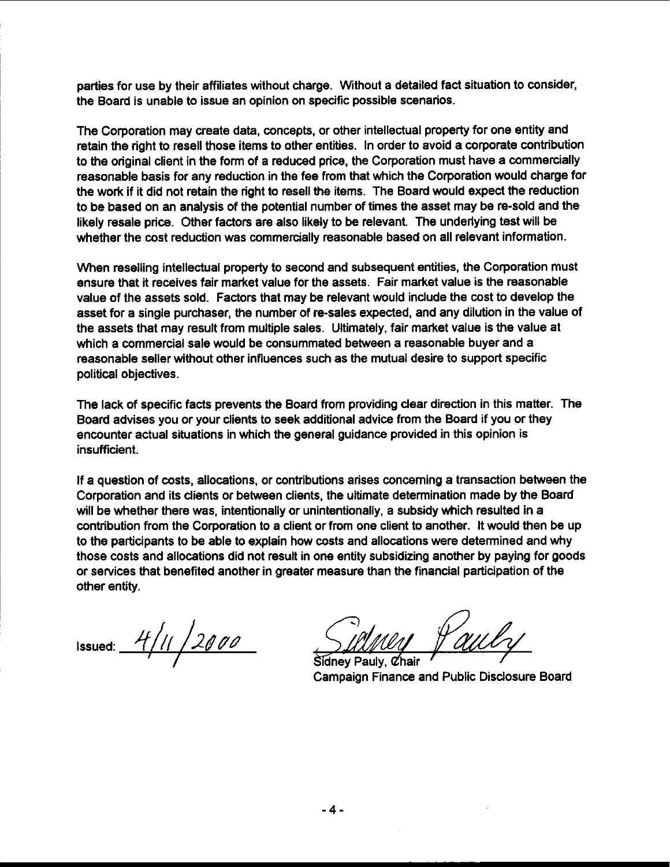parties for use by their affiliates without charge. Without a detailed fact situation to consider, the Board is unable to issue an opinion on specific possible scenarios.

The Corporation may create data, concepts, or other intellectual property for one entity and retain the right to resell those items to other entities. In order to avoid a corporate contribution to the original client in the form of a reduced price, the Corporation must have a commercially reasonable basis for any reduction in the fee from that which the Corporation would charge for the work if it did not retain the right to resell the items. The Board would expect the reduction to be based on an analysis of the potential number of times the asset may be re-sold and the likely resale price. Other factors are also likely to be relevant. The underlying test will be whether the cost reduction was commercially reasonable based on all relevant information.

When reselling intellectual property to second and subsequent entities, the Corporation must ensure that it receives fair market value for the assets. Fair market value is the reasonable value of the assets sold. Factors that may be relevant would include the cost to develop the asset for a single purchaser, the number of re-sales expected, and any dilution in the value of the assets that may result from multiple sales. Ultimately, fair market value is the value at which a commercial sale would be consummated between a reasonable buyer and a reasonable seller without other influences such as the mutual desire to support specific political objectives.

The lack of specific facts prevents the Board from providing clear direction in this matter. The Board advises you or your clients to seek additional advice from the Board if you or they encounter actual situations in which the general guidance provided in this opinion is insufficient.

If a question of costs, allocations, or contributions arises concerning a transaction between the Corporation and its clients or between clients, the ultimate determination made by the Board will be whether there was, intentionally or unintentionally, a subsidy which resulted in a contribution from the Corporation to a client or from one client to another. It would then be up to the participants to be able to explain how costs and allocations were determined and why those costs and allocations did not result in one entity subsidizing another by paying for goods or services that benefited another in greater measure than the financial participation of the other entity.

Issued: 4/11/2000

Campaign Finance and Public Disclosure Board